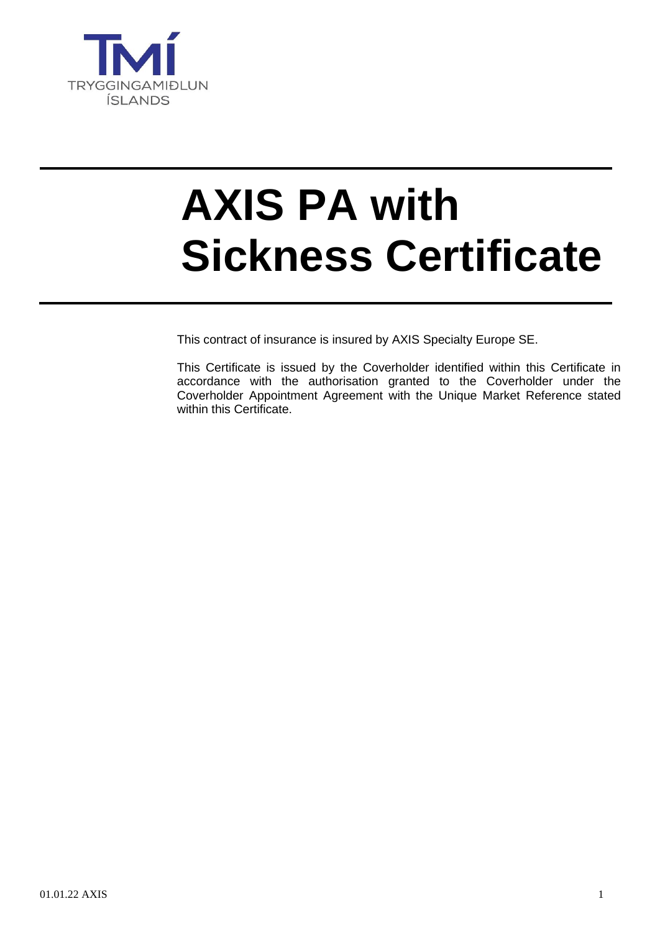

# **AXIS PA with Sickness Certificate**

This contract of insurance is insured by AXIS Specialty Europe SE.

This Certificate is issued by the Coverholder identified within this Certificate in accordance with the authorisation granted to the Coverholder under the Coverholder Appointment Agreement with the Unique Market Reference stated within this Certificate.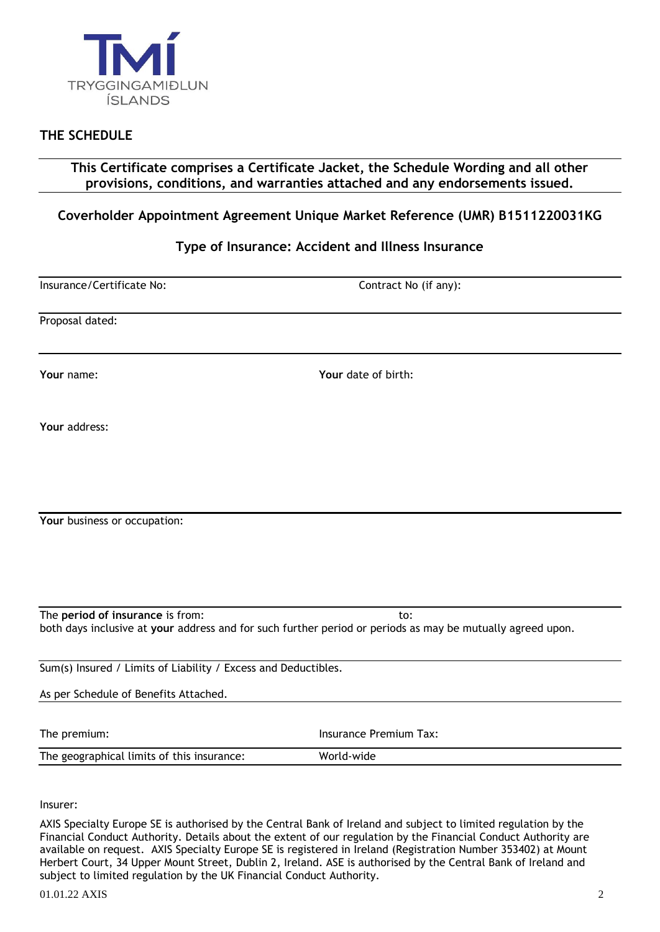

## **THE SCHEDULE**

**This Certificate comprises a Certificate Jacket, the Schedule Wording and all other provisions, conditions, and warranties attached and any endorsements issued.**

## **Coverholder Appointment Agreement Unique Market Reference (UMR) B1511220031KG**

## **Type of Insurance: Accident and Illness Insurance**

Insurance/Certificate No: Contract No (if any):

Proposal dated:

**Your** name: **Your** date of birth:

**Your** address:

**Your** business or occupation:

The **period of insurance** is from: to: both days inclusive at **your** address and for such further period or periods as may be mutually agreed upon.

Sum(s) Insured / Limits of Liability / Excess and Deductibles.

As per Schedule of Benefits Attached.

The premium: The premium Tax: Insurance Premium Tax:

The geographical limits of this insurance: World-wide

Insurer:

AXIS Specialty Europe SE is authorised by the Central Bank of Ireland and subject to limited regulation by the Financial Conduct Authority. Details about the extent of our regulation by the Financial Conduct Authority are available on request. AXIS Specialty Europe SE is registered in Ireland (Registration Number 353402) at Mount Herbert Court, 34 Upper Mount Street, Dublin 2, Ireland. ASE is authorised by the Central Bank of Ireland and subject to limited regulation by the UK Financial Conduct Authority.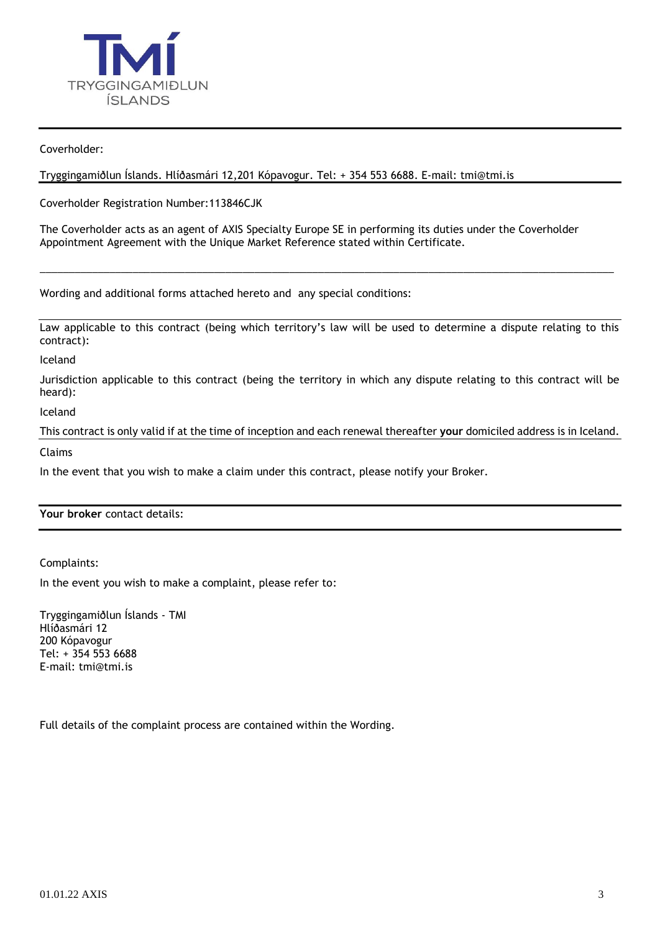

Coverholder:

Tryggingamiðlun Íslands. Hlíðasmári 12,201 Kópavogur. Tel: + 354 553 6688. E-mail: [tmi@tmi.is](mailto:tmi@tmi.is)

Coverholder Registration Number:113846CJK

The Coverholder acts as an agent of AXIS Specialty Europe SE in performing its duties under the Coverholder Appointment Agreement with the Unique Market Reference stated within Certificate.

Wording and additional forms attached hereto and any special conditions:

Law applicable to this contract (being which territory's law will be used to determine a dispute relating to this contract):

\_\_\_\_\_\_\_\_\_\_\_\_\_\_\_\_\_\_\_\_\_\_\_\_\_\_\_\_\_\_\_\_\_\_\_\_\_\_\_\_\_\_\_\_\_\_\_\_\_\_\_\_\_\_\_\_\_\_\_\_\_\_\_\_\_\_\_\_\_\_\_\_\_\_\_\_\_\_\_\_\_\_\_\_\_\_\_\_\_\_\_\_\_\_\_\_\_\_\_

Iceland

Jurisdiction applicable to this contract (being the territory in which any dispute relating to this contract will be heard):

Iceland

This contract is only valid if at the time of inception and each renewal thereafter **your** domiciled address is in Iceland. Claims

In the event that you wish to make a claim under this contract, please notify your Broker.

**Your broker** contact details:

Complaints:

In the event you wish to make a complaint, please refer to:

Tryggingamiðlun Íslands - TMI Hlíðasmári 12 200 Kópavogur Tel: + 354 553 6688 E-mail: [tmi@tmi.is](mailto:tmi@tmi.is)

Full details of the complaint process are contained within the Wording.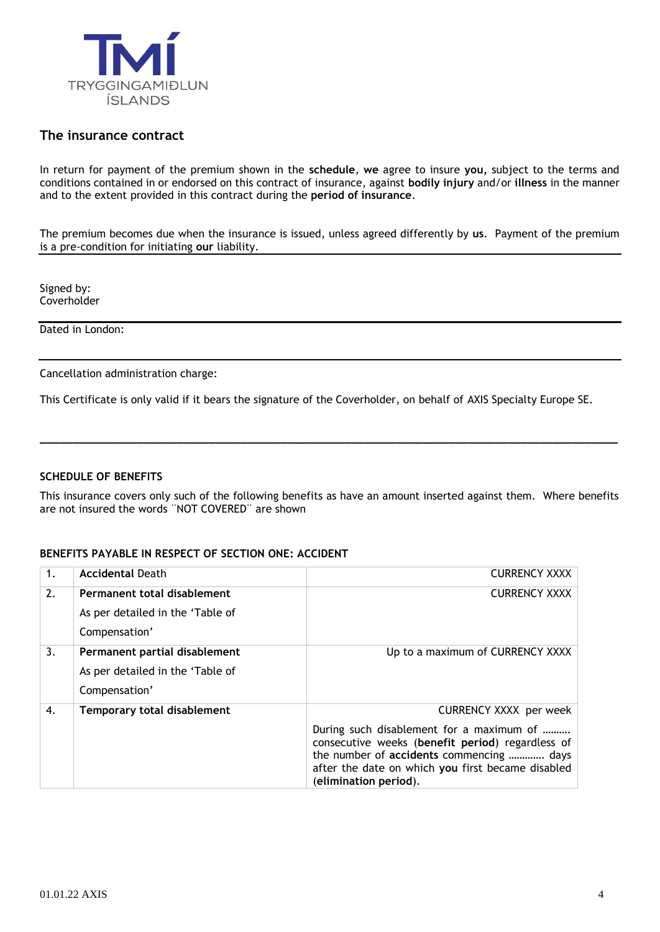

## **The insurance contract**

In return for payment of the premium shown in the **schedule**, **we** agree to insure **you,** subject to the terms and conditions contained in or endorsed on this contract of insurance, against **bodily injury** and/or **illness** in the manner and to the extent provided in this contract during the **period of insurance**.

The premium becomes due when the insurance is issued, unless agreed differently by **us**. Payment of the premium is a pre-condition for initiating **our** liability.

Signed by: **Coverholder** 

Dated in London:

Cancellation administration charge:

This Certificate is only valid if it bears the signature of the Coverholder, on behalf of AXIS Specialty Europe SE.

#### **SCHEDULE OF BENEFITS**

This insurance covers only such of the following benefits as have an amount inserted against them. Where benefits are not insured the words ¨NOT COVERED¨ are shown

**\_\_\_\_\_\_\_\_\_\_\_\_\_\_\_\_\_\_\_\_\_\_\_\_\_\_\_\_\_\_\_\_\_\_\_\_\_\_\_\_\_\_\_\_\_\_\_\_\_\_\_\_\_\_\_\_\_\_\_\_\_\_\_\_\_\_\_\_\_\_\_\_\_\_\_\_\_\_\_\_\_\_\_\_\_\_\_\_\_**

#### **BENEFITS PAYABLE IN RESPECT OF SECTION ONE: ACCIDENT**

| 1. | <b>Accidental Death</b>            | <b>CURRENCY XXXX</b>                                                                                                                                                                                                   |
|----|------------------------------------|------------------------------------------------------------------------------------------------------------------------------------------------------------------------------------------------------------------------|
| 2. | Permanent total disablement        | <b>CURRENCY XXXX</b>                                                                                                                                                                                                   |
|    | As per detailed in the 'Table of   |                                                                                                                                                                                                                        |
|    | Compensation'                      |                                                                                                                                                                                                                        |
| 3. | Permanent partial disablement      | Up to a maximum of CURRENCY XXXX                                                                                                                                                                                       |
|    | As per detailed in the 'Table of   |                                                                                                                                                                                                                        |
|    | Compensation'                      |                                                                                                                                                                                                                        |
| 4. | <b>Temporary total disablement</b> | <b>CURRENCY XXXX</b> per week                                                                                                                                                                                          |
|    |                                    | During such disablement for a maximum of<br>consecutive weeks (benefit period) regardless of<br>the number of accidents commencing  days<br>after the date on which you first became disabled<br>(elimination period). |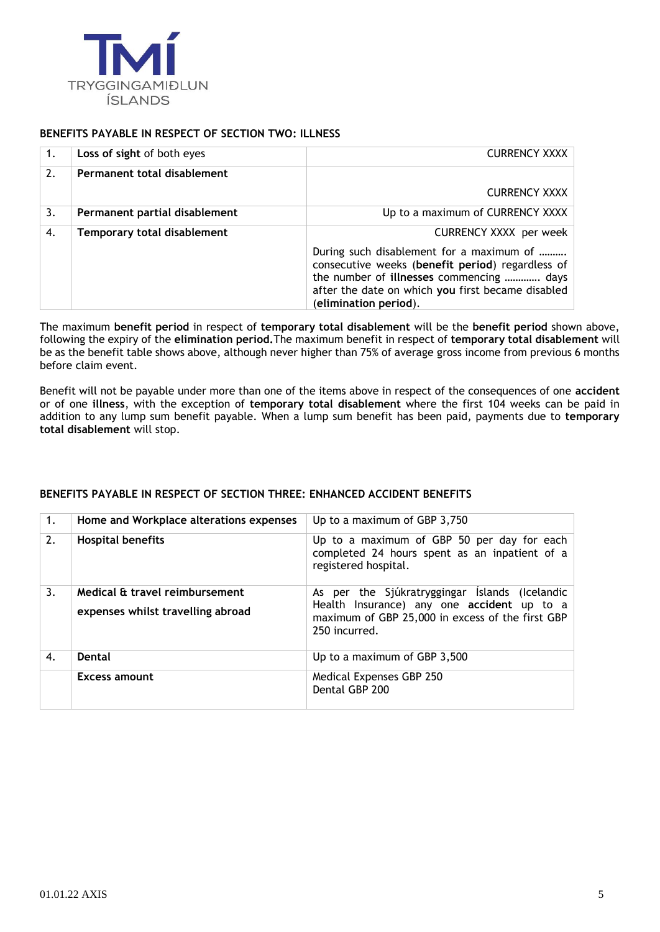

## **BENEFITS PAYABLE IN RESPECT OF SECTION TWO: ILLNESS**

|    | Loss of sight of both eyes         | <b>CURRENCY XXXX</b>                                                                                                                                                                                                   |
|----|------------------------------------|------------------------------------------------------------------------------------------------------------------------------------------------------------------------------------------------------------------------|
| 2. | Permanent total disablement        |                                                                                                                                                                                                                        |
|    |                                    | <b>CURRENCY XXXX</b>                                                                                                                                                                                                   |
| 3. | Permanent partial disablement      | Up to a maximum of CURRENCY XXXX                                                                                                                                                                                       |
| 4. | <b>Temporary total disablement</b> | <b>CURRENCY XXXX</b> per week                                                                                                                                                                                          |
|    |                                    | During such disablement for a maximum of<br>consecutive weeks (benefit period) regardless of<br>the number of illnesses commencing  days<br>after the date on which you first became disabled<br>(elimination period). |

The maximum **benefit period** in respect of **temporary total disablement** will be the **benefit period** shown above, following the expiry of the **elimination period.**The maximum benefit in respect of **temporary total disablement** will be as the benefit table shows above, although never higher than 75% of average gross income from previous 6 months before claim event.

Benefit will not be payable under more than one of the items above in respect of the consequences of one **accident** or of one **illness**, with the exception of **temporary total disablement** where the first 104 weeks can be paid in addition to any lump sum benefit payable. When a lump sum benefit has been paid, payments due to **temporary total disablement** will stop.

## 1. **Home and Workplace alterations expenses** Up to a maximum of GBP 3,750 2. **Hospital benefits** Up to a maximum of GBP 50 per day for each completed 24 hours spent as an inpatient of a registered hospital. 3. **Medical & travel reimbursement expenses whilst travelling abroad** As per the Sjúkratryggingar Íslands (Icelandic Health Insurance) any one **accident** up to a maximum of GBP 25,000 in excess of the first GBP 250 incurred. 4. **Dental** Up to a maximum of GBP 3,500 **Excess amount** Medical Expenses GBP 250 Dental GBP 200

#### **BENEFITS PAYABLE IN RESPECT OF SECTION THREE: ENHANCED ACCIDENT BENEFITS**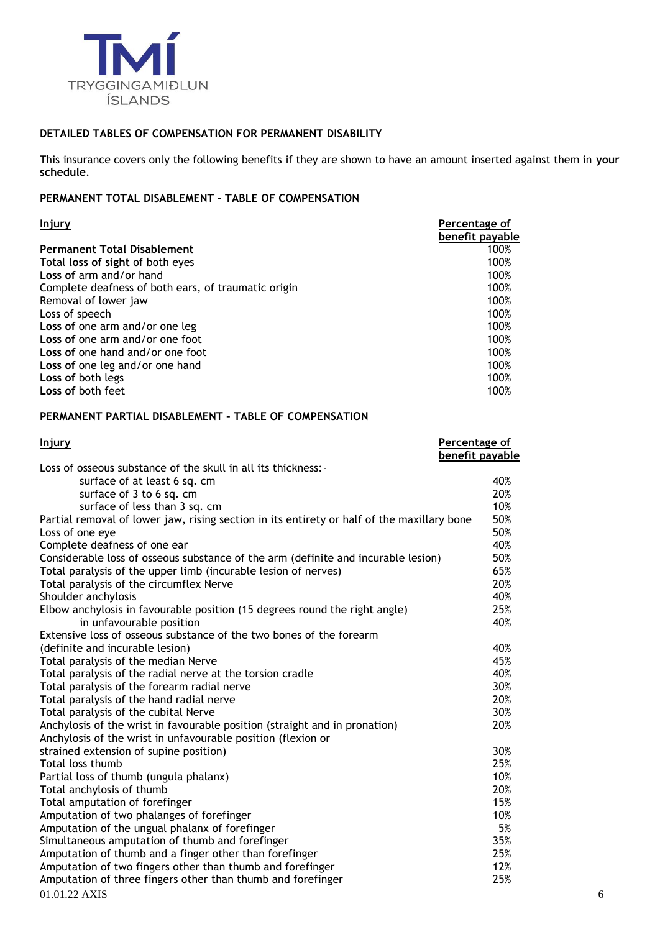

## **DETAILED TABLES OF COMPENSATION FOR PERMANENT DISABILITY**

This insurance covers only the following benefits if they are shown to have an amount inserted against them in **your schedule**.

## **PERMANENT TOTAL DISABLEMENT – TABLE OF COMPENSATION**

| Injury                                              | Percentage of   |
|-----------------------------------------------------|-----------------|
|                                                     | benefit payable |
| <b>Permanent Total Disablement</b>                  | 100%            |
| Total loss of sight of both eyes                    | 100%            |
| Loss of arm and/or hand                             | 100%            |
| Complete deafness of both ears, of traumatic origin | 100%            |
| Removal of lower jaw                                | 100%            |
| Loss of speech                                      | 100%            |
| Loss of one arm and/or one leg                      | 100%            |
| Loss of one arm and/or one foot                     | 100%            |
| Loss of one hand and/or one foot                    | 100%            |
| Loss of one leg and/or one hand                     | 100%            |
| Loss of both legs                                   | 100%            |
| Loss of both feet                                   | 100%            |

#### **PERMANENT PARTIAL DISABLEMENT – TABLE OF COMPENSATION**

| <u>Injury</u>                                                                              | Percentage of   |
|--------------------------------------------------------------------------------------------|-----------------|
|                                                                                            | benefit payable |
| Loss of osseous substance of the skull in all its thickness: -                             |                 |
| surface of at least 6 sq. cm                                                               | 40%             |
| surface of 3 to 6 sq. cm                                                                   | 20%             |
| surface of less than 3 sq. cm                                                              | 10%             |
| Partial removal of lower jaw, rising section in its entirety or half of the maxillary bone | 50%             |
| Loss of one eye                                                                            | 50%             |
| Complete deafness of one ear                                                               | 40%             |
| Considerable loss of osseous substance of the arm (definite and incurable lesion)          | 50%             |
| Total paralysis of the upper limb (incurable lesion of nerves)                             | 65%             |
| Total paralysis of the circumflex Nerve                                                    | 20%             |
| Shoulder anchylosis                                                                        | 40%             |
| Elbow anchylosis in favourable position (15 degrees round the right angle)                 | 25%             |
| in unfavourable position                                                                   | 40%             |
| Extensive loss of osseous substance of the two bones of the forearm                        |                 |
| (definite and incurable lesion)                                                            | 40%             |
| Total paralysis of the median Nerve                                                        | 45%             |
| Total paralysis of the radial nerve at the torsion cradle                                  | 40%             |
| Total paralysis of the forearm radial nerve                                                | 30%             |
| Total paralysis of the hand radial nerve                                                   | 20%             |
| Total paralysis of the cubital Nerve                                                       | 30%             |
| Anchylosis of the wrist in favourable position (straight and in pronation)                 | 20%             |
| Anchylosis of the wrist in unfavourable position (flexion or                               |                 |
| strained extension of supine position)                                                     | 30%             |
| Total loss thumb                                                                           | 25%             |
| Partial loss of thumb (ungula phalanx)                                                     | 10%             |
| Total anchylosis of thumb                                                                  | 20%             |
| Total amputation of forefinger                                                             | 15%             |
| Amputation of two phalanges of forefinger                                                  | 10%             |
| Amputation of the ungual phalanx of forefinger                                             | 5%              |
| Simultaneous amputation of thumb and forefinger                                            | 35%             |
| Amputation of thumb and a finger other than forefinger                                     | 25%             |
| Amputation of two fingers other than thumb and forefinger                                  | 12%             |
| Amputation of three fingers other than thumb and forefinger                                | 25%             |
| 01.01.22 AXIS                                                                              | 6               |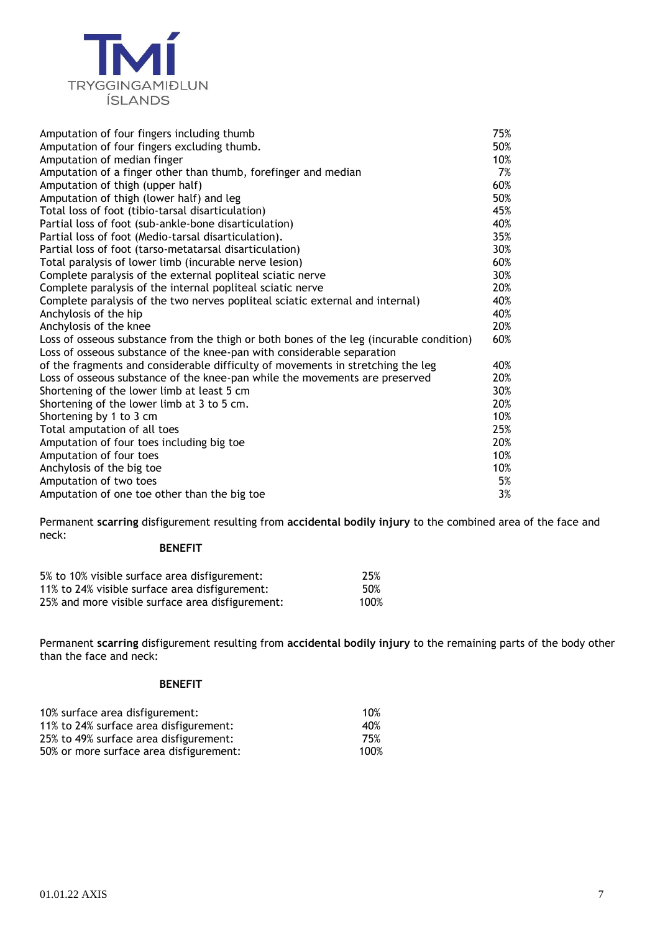

| Amputation of four fingers including thumb                                              | 75% |
|-----------------------------------------------------------------------------------------|-----|
| Amputation of four fingers excluding thumb.                                             | 50% |
| Amputation of median finger                                                             | 10% |
| Amputation of a finger other than thumb, forefinger and median                          | 7%  |
| Amputation of thigh (upper half)                                                        | 60% |
| Amputation of thigh (lower half) and leg                                                | 50% |
| Total loss of foot (tibio-tarsal disarticulation)                                       | 45% |
| Partial loss of foot (sub-ankle-bone disarticulation)                                   | 40% |
| Partial loss of foot (Medio-tarsal disarticulation).                                    | 35% |
| Partial loss of foot (tarso-metatarsal disarticulation)                                 | 30% |
| Total paralysis of lower limb (incurable nerve lesion)                                  | 60% |
| Complete paralysis of the external popliteal sciatic nerve                              | 30% |
| Complete paralysis of the internal popliteal sciatic nerve                              | 20% |
| Complete paralysis of the two nerves popliteal sciatic external and internal)           | 40% |
| Anchylosis of the hip                                                                   | 40% |
| Anchylosis of the knee                                                                  | 20% |
| Loss of osseous substance from the thigh or both bones of the leg (incurable condition) | 60% |
| Loss of osseous substance of the knee-pan with considerable separation                  |     |
| of the fragments and considerable difficulty of movements in stretching the leg         | 40% |
| Loss of osseous substance of the knee-pan while the movements are preserved             | 20% |
| Shortening of the lower limb at least 5 cm                                              | 30% |
| Shortening of the lower limb at 3 to 5 cm.                                              | 20% |
| Shortening by 1 to 3 cm                                                                 | 10% |
| Total amputation of all toes                                                            | 25% |
| Amputation of four toes including big toe                                               | 20% |
| Amputation of four toes                                                                 | 10% |
| Anchylosis of the big toe                                                               | 10% |
| Amputation of two toes                                                                  | 5%  |
| Amputation of one toe other than the big toe                                            | 3%  |

Permanent **scarring** disfigurement resulting from **accidental bodily injury** to the combined area of the face and neck:

## **BENEFIT**

| 5% to 10% visible surface area disfigurement:    | 25%  |
|--------------------------------------------------|------|
| 11% to 24% visible surface area disfigurement:   | 50%  |
| 25% and more visible surface area disfigurement: | 100% |

Permanent **scarring** disfigurement resulting from **accidental bodily injury** to the remaining parts of the body other than the face and neck:

#### **BENEFIT**

| 10% surface area disfigurement:         | 10%  |
|-----------------------------------------|------|
| 11% to 24% surface area disfigurement:  | 40%  |
| 25% to 49% surface area disfigurement:  | 75%  |
| 50% or more surface area disfigurement: | 100% |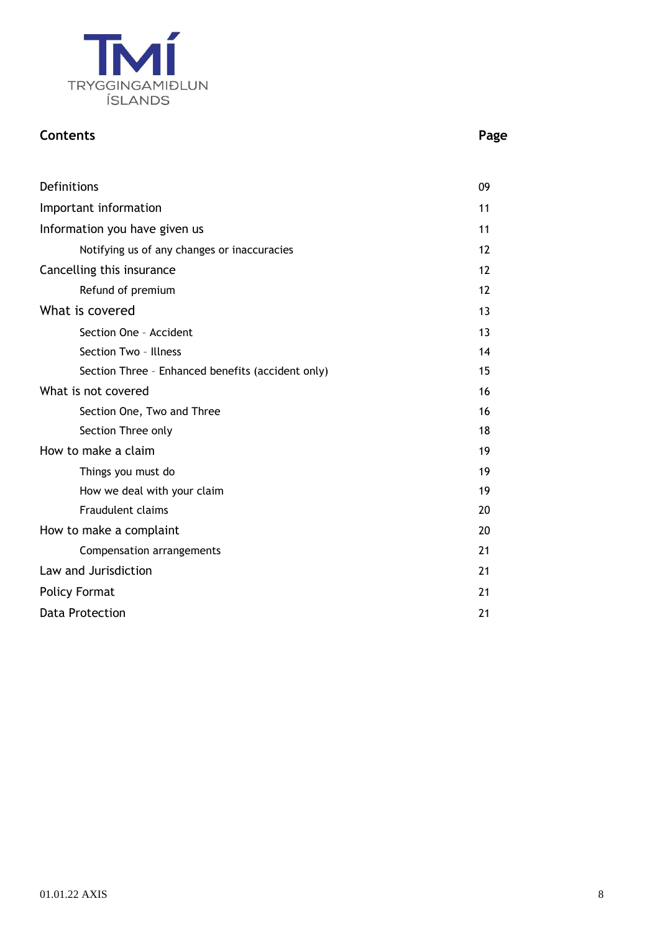

## **Contents Page**

| Definitions                                       |    |
|---------------------------------------------------|----|
| Important information                             |    |
| Information you have given us                     |    |
| Notifying us of any changes or inaccuracies       | 12 |
| Cancelling this insurance                         | 12 |
| Refund of premium                                 | 12 |
| What is covered                                   | 13 |
| Section One - Accident                            | 13 |
| Section Two - Illness                             | 14 |
| Section Three - Enhanced benefits (accident only) | 15 |
| What is not covered                               | 16 |
| Section One, Two and Three                        | 16 |
| Section Three only                                | 18 |
| How to make a claim                               |    |
| Things you must do                                | 19 |
| How we deal with your claim                       | 19 |
| <b>Fraudulent claims</b>                          | 20 |
| How to make a complaint                           | 20 |
| Compensation arrangements                         | 21 |
| Law and Jurisdiction                              | 21 |
| <b>Policy Format</b>                              |    |
| <b>Data Protection</b>                            | 21 |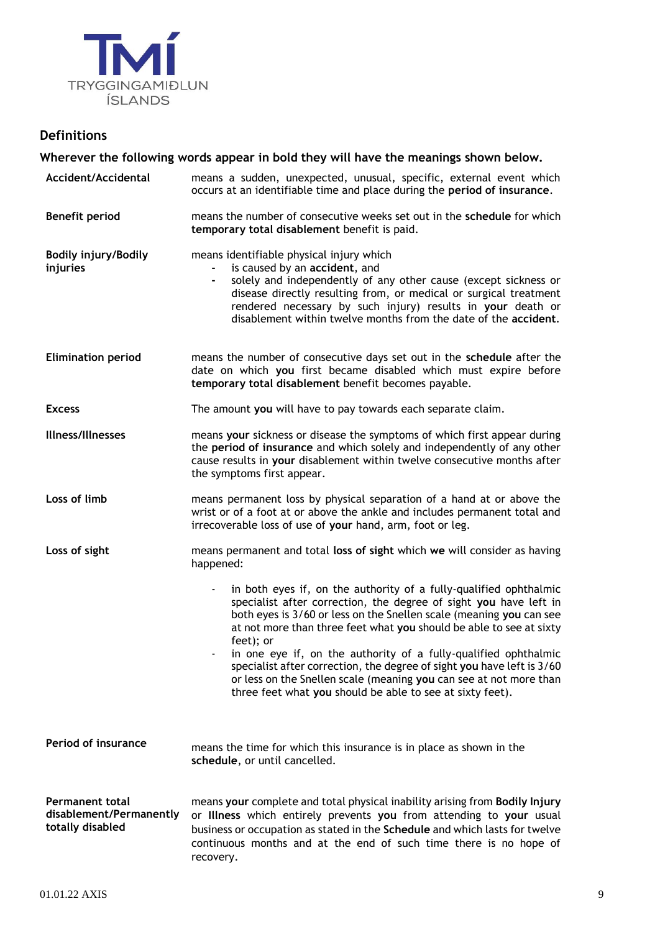

## **Definitions**

**Wherever the following words appear in bold they will have the meanings shown below. Accident/Accidental** means a sudden, unexpected, unusual, specific, external event which occurs at an identifiable time and place during the **period of insurance**. **Benefit period** means the number of consecutive weeks set out in the **schedule** for which **temporary total disablement** benefit is paid. **Bodily injury/Bodily injuries** means identifiable physical injury which **-** is caused by an **accident**, and **-** solely and independently of any other cause (except sickness or disease directly resulting from, or medical or surgical treatment rendered necessary by such injury) results in **your** death or disablement within twelve months from the date of the **accident**. **Elimination period** means the number of consecutive days set out in the **schedule** after the date on which **you** first became disabled which must expire before **temporary total disablement** benefit becomes payable. **Excess** The amount **you** will have to pay towards each separate claim. **Illness/Illnesses** means **your** sickness or disease the symptoms of which first appear during the **period of insurance** and which solely and independently of any other cause results in **your** disablement within twelve consecutive months after the symptoms first appear. **Loss of limb** means permanent loss by physical separation of a hand at or above the wrist or of a foot at or above the ankle and includes permanent total and irrecoverable loss of use of **your** hand, arm, foot or leg. **Loss of sight** means permanent and total **loss of sight** which **we** will consider as having happened: in both eyes if, on the authority of a fully-qualified ophthalmic specialist after correction, the degree of sight **you** have left in both eyes is 3/60 or less on the Snellen scale (meaning **you** can see at not more than three feet what **you** should be able to see at sixty feet); or in one eye if, on the authority of a fully-qualified ophthalmic specialist after correction, the degree of sight **you** have left is 3/60 or less on the Snellen scale (meaning **you** can see at not more than three feet what **you** should be able to see at sixty feet). **Period of insurance** means the time for which this insurance is in place as shown in the **schedule**, or until cancelled. **Permanent total disablement/Permanently totally disabled** means **your** complete and total physical inability arising from **Bodily Injury**  or **Illness** which entirely prevents **you** from attending to **your** usual business or occupation as stated in the **Schedule** and which lasts for twelve continuous months and at the end of such time there is no hope of recovery.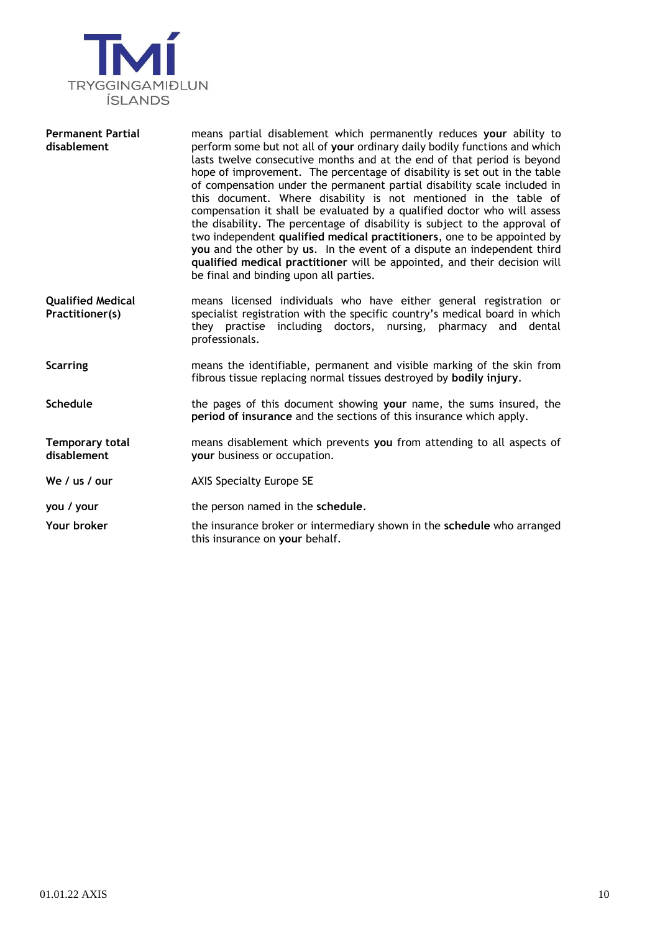

| <b>Permanent Partial</b><br>disablement     | means partial disablement which permanently reduces your ability to<br>perform some but not all of your ordinary daily bodily functions and which<br>lasts twelve consecutive months and at the end of that period is beyond<br>hope of improvement. The percentage of disability is set out in the table<br>of compensation under the permanent partial disability scale included in<br>this document. Where disability is not mentioned in the table of<br>compensation it shall be evaluated by a qualified doctor who will assess<br>the disability. The percentage of disability is subject to the approval of<br>two independent qualified medical practitioners, one to be appointed by<br>you and the other by us. In the event of a dispute an independent third<br>qualified medical practitioner will be appointed, and their decision will<br>be final and binding upon all parties. |
|---------------------------------------------|--------------------------------------------------------------------------------------------------------------------------------------------------------------------------------------------------------------------------------------------------------------------------------------------------------------------------------------------------------------------------------------------------------------------------------------------------------------------------------------------------------------------------------------------------------------------------------------------------------------------------------------------------------------------------------------------------------------------------------------------------------------------------------------------------------------------------------------------------------------------------------------------------|
| <b>Qualified Medical</b><br>Practitioner(s) | means licensed individuals who have either general registration or<br>specialist registration with the specific country's medical board in which<br>they practise including doctors, nursing, pharmacy and dental<br>professionals.                                                                                                                                                                                                                                                                                                                                                                                                                                                                                                                                                                                                                                                              |
| <b>Scarring</b>                             | means the identifiable, permanent and visible marking of the skin from<br>fibrous tissue replacing normal tissues destroyed by bodily injury.                                                                                                                                                                                                                                                                                                                                                                                                                                                                                                                                                                                                                                                                                                                                                    |
| <b>Schedule</b>                             | the pages of this document showing your name, the sums insured, the<br>period of insurance and the sections of this insurance which apply.                                                                                                                                                                                                                                                                                                                                                                                                                                                                                                                                                                                                                                                                                                                                                       |
| <b>Temporary total</b><br>disablement       | means disablement which prevents you from attending to all aspects of<br>your business or occupation.                                                                                                                                                                                                                                                                                                                                                                                                                                                                                                                                                                                                                                                                                                                                                                                            |
| We / us / our                               | <b>AXIS Specialty Europe SE</b>                                                                                                                                                                                                                                                                                                                                                                                                                                                                                                                                                                                                                                                                                                                                                                                                                                                                  |
| you / your                                  | the person named in the schedule.                                                                                                                                                                                                                                                                                                                                                                                                                                                                                                                                                                                                                                                                                                                                                                                                                                                                |
| Your broker                                 | the insurance broker or intermediary shown in the schedule who arranged<br>this insurance on your behalf.                                                                                                                                                                                                                                                                                                                                                                                                                                                                                                                                                                                                                                                                                                                                                                                        |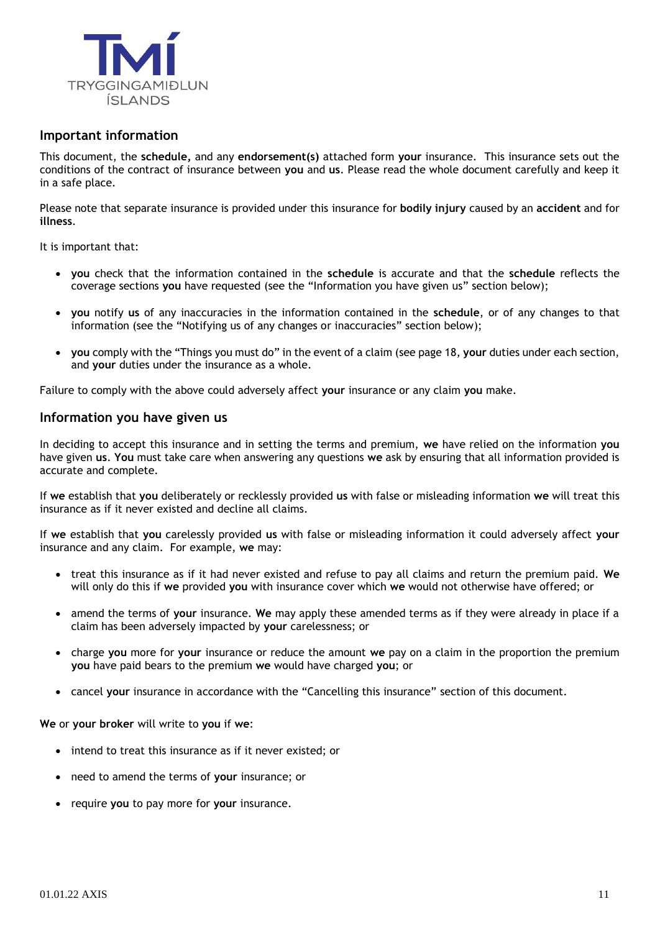

## **Important information**

This document, the **schedule,** and any **endorsement(s)** attached form **your** insurance. This insurance sets out the conditions of the contract of insurance between **you** and **us**. Please read the whole document carefully and keep it in a safe place.

Please note that separate insurance is provided under this insurance for **bodily injury** caused by an **accident** and for **illness**.

It is important that:

- **you** check that the information contained in the **schedule** is accurate and that the **schedule** reflects the coverage sections **you** have requested (see the "Information you have given us" section below);
- **you** notify **us** of any inaccuracies in the information contained in the **schedule**, or of any changes to that information (see the "Notifying us of any changes or inaccuracies" section below);
- **you** comply with the "Things you must do" in the event of a claim (see page 18, **your** duties under each section, and **your** duties under the insurance as a whole.

Failure to comply with the above could adversely affect **your** insurance or any claim **you** make.

## **Information you have given us**

In deciding to accept this insurance and in setting the terms and premium, **we** have relied on the information **you** have given **us**. **You** must take care when answering any questions **we** ask by ensuring that all information provided is accurate and complete.

If **we** establish that **you** deliberately or recklessly provided **us** with false or misleading information **we** will treat this insurance as if it never existed and decline all claims.

If **we** establish that **you** carelessly provided **us** with false or misleading information it could adversely affect **your** insurance and any claim. For example, **we** may:

- treat this insurance as if it had never existed and refuse to pay all claims and return the premium paid. **We** will only do this if **we** provided **you** with insurance cover which **we** would not otherwise have offered; or
- amend the terms of **your** insurance. **We** may apply these amended terms as if they were already in place if a claim has been adversely impacted by **your** carelessness; or
- charge **you** more for **your** insurance or reduce the amount **we** pay on a claim in the proportion the premium **you** have paid bears to the premium **we** would have charged **you**; or
- cancel **your** insurance in accordance with the "Cancelling this insurance" section of this document.

**We** or **your broker** will write to **you** if **we**:

- intend to treat this insurance as if it never existed; or
- need to amend the terms of **your** insurance; or
- require **you** to pay more for **your** insurance.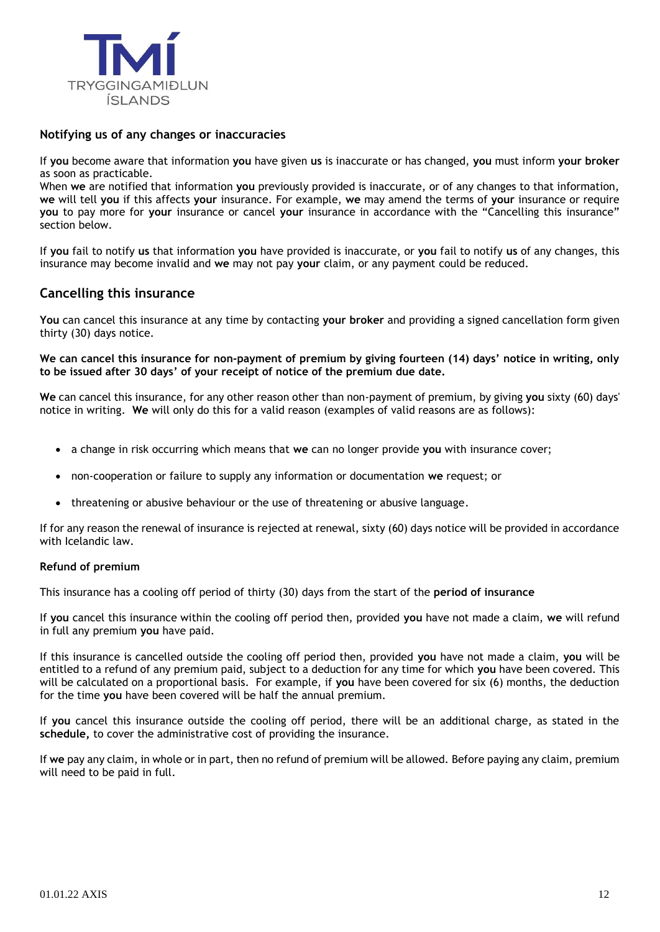

## **Notifying us of any changes or inaccuracies**

If **you** become aware that information **you** have given **us** is inaccurate or has changed, **you** must inform **your broker** as soon as practicable.

When **we** are notified that information **you** previously provided is inaccurate, or of any changes to that information, **we** will tell **you** if this affects **your** insurance. For example, **we** may amend the terms of **your** insurance or require **you** to pay more for **your** insurance or cancel **your** insurance in accordance with the "Cancelling this insurance" section below.

If **you** fail to notify **us** that information **you** have provided is inaccurate, or **you** fail to notify **us** of any changes, this insurance may become invalid and **we** may not pay **your** claim, or any payment could be reduced.

## **Cancelling this insurance**

**You** can cancel this insurance at any time by contacting **your broker** and providing a signed cancellation form given thirty (30) days notice.

**We can cancel this insurance for non-payment of premium by giving fourteen (14) days' notice in writing, only to be issued after 30 days' of your receipt of notice of the premium due date.**

**We** can cancel this insurance, for any other reason other than non-payment of premium, by giving **you** sixty (60) days' notice in writing. **We** will only do this for a valid reason (examples of valid reasons are as follows):

- a change in risk occurring which means that **we** can no longer provide **you** with insurance cover;
- non-cooperation or failure to supply any information or documentation **we** request; or
- threatening or abusive behaviour or the use of threatening or abusive language.

If for any reason the renewal of insurance is rejected at renewal, sixty (60) days notice will be provided in accordance with Icelandic law.

#### **Refund of premium**

This insurance has a cooling off period of thirty (30) days from the start of the **period of insurance**

If **you** cancel this insurance within the cooling off period then, provided **you** have not made a claim, **we** will refund in full any premium **you** have paid.

If this insurance is cancelled outside the cooling off period then, provided **you** have not made a claim, **you** will be entitled to a refund of any premium paid, subject to a deduction for any time for which **you** have been covered. This will be calculated on a proportional basis. For example, if **you** have been covered for six (6) months, the deduction for the time **you** have been covered will be half the annual premium.

If **you** cancel this insurance outside the cooling off period, there will be an additional charge, as stated in the **schedule,** to cover the administrative cost of providing the insurance.

If **we** pay any claim, in whole or in part, then no refund of premium will be allowed. Before paying any claim, premium will need to be paid in full.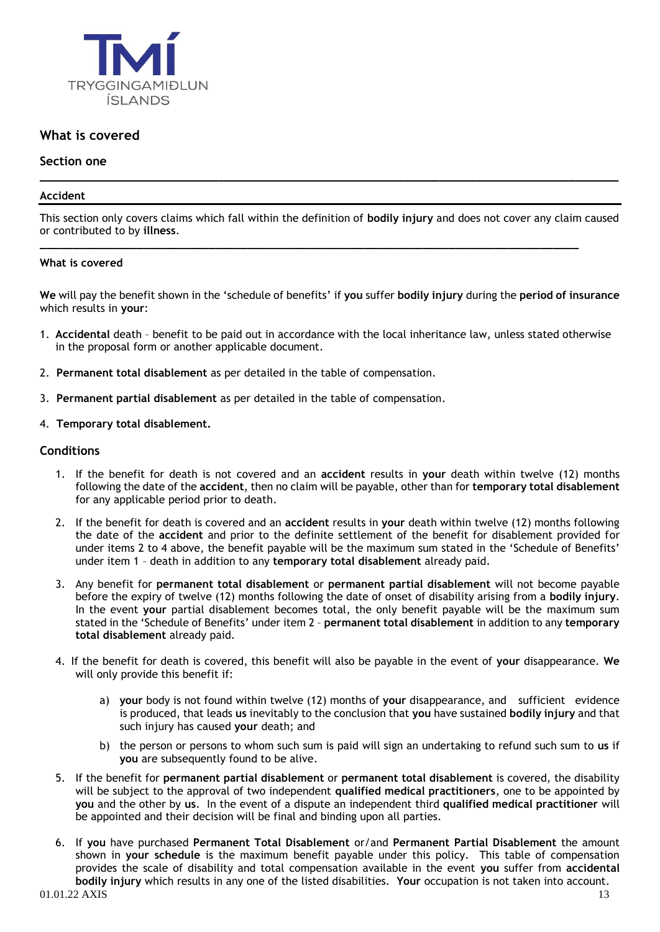

## **What is covered**

## **Section one**

#### **Accident**

This section only covers claims which fall within the definition of **bodily injury** and does not cover any claim caused or contributed to by **illness**.

**\_\_\_\_\_\_\_\_\_\_\_\_\_\_\_\_\_\_\_\_\_\_\_\_\_\_\_\_\_\_\_\_\_\_\_\_\_\_\_\_\_\_\_\_\_\_\_\_\_\_\_\_\_\_\_\_\_\_\_\_\_\_\_\_\_\_\_\_\_\_\_\_\_\_\_\_\_\_\_\_\_\_\_**

**\_\_\_\_\_\_\_\_\_\_\_\_\_\_\_\_\_\_\_\_\_\_\_\_\_\_\_\_\_\_\_\_\_\_\_\_\_\_\_\_\_\_\_\_\_\_\_\_\_\_\_\_\_\_\_\_\_\_\_\_\_\_\_\_\_\_\_\_\_\_\_\_\_\_\_\_\_\_\_\_\_** 

#### **What is covered**

**We** will pay the benefit shown in the 'schedule of benefits' if **you** suffer **bodily injury** during the **period of insurance** which results in **your**:

- 1. **Accidental** death benefit to be paid out in accordance with the local inheritance law, unless stated otherwise in the proposal form or another applicable document.
- 2. **Permanent total disablement** as per detailed in the table of compensation.
- 3. **Permanent partial disablement** as per detailed in the table of compensation.
- 4. **Temporary total disablement.**

#### **Conditions**

- 1. If the benefit for death is not covered and an **accident** results in **your** death within twelve (12) months following the date of the **accident**, then no claim will be payable, other than for **temporary total disablement** for any applicable period prior to death.
- 2. If the benefit for death is covered and an **accident** results in **your** death within twelve (12) months following the date of the **accident** and prior to the definite settlement of the benefit for disablement provided for under items 2 to 4 above, the benefit payable will be the maximum sum stated in the 'Schedule of Benefits' under item 1 – death in addition to any **temporary total disablement** already paid.
- 3. Any benefit for **permanent total disablement** or **permanent partial disablement** will not become payable before the expiry of twelve (12) months following the date of onset of disability arising from a **bodily injury**. In the event **your** partial disablement becomes total, the only benefit payable will be the maximum sum stated in the 'Schedule of Benefits' under item 2 – **permanent total disablement** in addition to any **temporary total disablement** already paid.
- 4. If the benefit for death is covered, this benefit will also be payable in the event of **your** disappearance. **We**  will only provide this benefit if:
	- a) **your** body is not found within twelve (12) months of **your** disappearance, and sufficient evidence is produced, that leads **us** inevitably to the conclusion that **you** have sustained **bodily injury** and that such injury has caused **your** death; and
	- b) the person or persons to whom such sum is paid will sign an undertaking to refund such sum to **us** if **you** are subsequently found to be alive.
- 5. If the benefit for **permanent partial disablement** or **permanent total disablement** is covered, the disability will be subject to the approval of two independent **qualified medical practitioners**, one to be appointed by **you** and the other by **us**. In the event of a dispute an independent third **qualified medical practitioner** will be appointed and their decision will be final and binding upon all parties.
- 6. If **you** have purchased **Permanent Total Disablement** or/and **Permanent Partial Disablement** the amount shown in **your schedule** is the maximum benefit payable under this policy. This table of compensation provides the scale of disability and total compensation available in the event **you** suffer from **accidental bodily injury** which results in any one of the listed disabilities. **Your** occupation is not taken into account.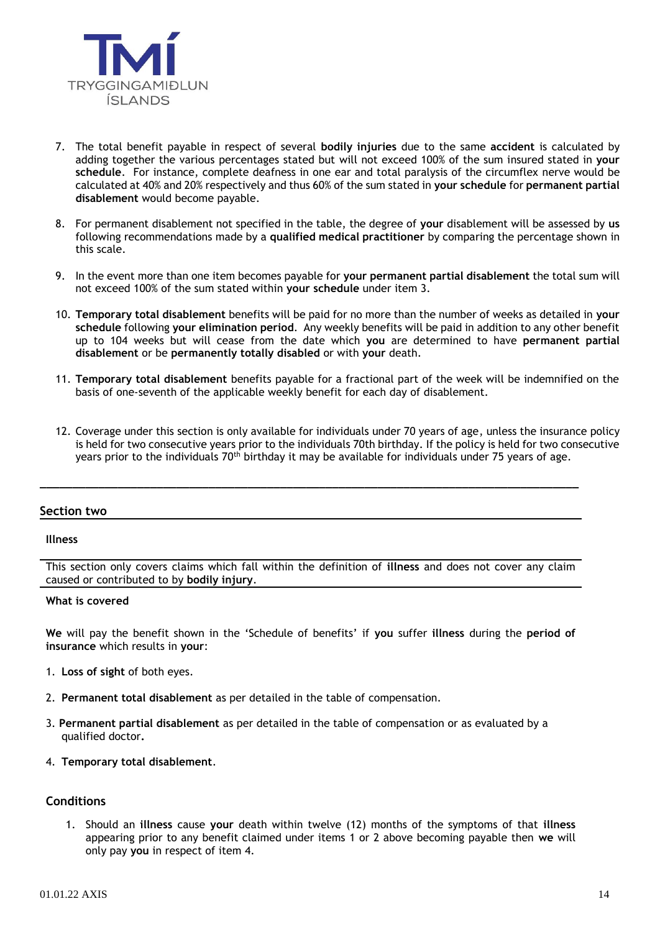

- 7. The total benefit payable in respect of several **bodily injuries** due to the same **accident** is calculated by adding together the various percentages stated but will not exceed 100% of the sum insured stated in **your schedule**. For instance, complete deafness in one ear and total paralysis of the circumflex nerve would be calculated at 40% and 20% respectively and thus 60% of the sum stated in **your schedule** for **permanent partial disablement** would become payable.
- 8. For permanent disablement not specified in the table, the degree of **your** disablement will be assessed by **us**  following recommendations made by a **qualified medical practitioner** by comparing the percentage shown in this scale.
- 9. In the event more than one item becomes payable for **your permanent partial disablement** the total sum will not exceed 100% of the sum stated within **your schedule** under item 3.
- 10. **Temporary total disablement** benefits will be paid for no more than the number of weeks as detailed in **your schedule** following **your elimination period**. Any weekly benefits will be paid in addition to any other benefit up to 104 weeks but will cease from the date which **you** are determined to have **permanent partial disablement** or be **permanently totally disabled** or with **your** death.
- 11. **Temporary total disablement** benefits payable for a fractional part of the week will be indemnified on the basis of one-seventh of the applicable weekly benefit for each day of disablement.
- 12. Coverage under this section is only available for individuals under 70 years of age, unless the insurance policy is held for two consecutive years prior to the individuals 70th birthday. If the policy is held for two consecutive years prior to the individuals  $70<sup>th</sup>$  birthday it may be available for individuals under 75 years of age.

#### **Section two**

#### **Illness**

This section only covers claims which fall within the definition of **illness** and does not cover any claim caused or contributed to by **bodily injury**.

**\_\_\_\_\_\_\_\_\_\_\_\_\_\_\_\_\_\_\_\_\_\_\_\_\_\_\_\_\_\_\_\_\_\_\_\_\_\_\_\_\_\_\_\_\_\_\_\_\_\_\_\_\_\_\_\_\_\_\_\_\_\_\_\_\_\_\_\_\_\_\_\_\_\_\_\_\_\_\_\_\_\_\_**

#### **What is covered**

**We** will pay the benefit shown in the 'Schedule of benefits' if **you** suffer **illness** during the **period of insurance** which results in **your**:

- 1. **Loss of sight** of both eyes.
- 2. **Permanent total disablement** as per detailed in the table of compensation.
- 3. **Permanent partial disablement** as per detailed in the table of compensation or as evaluated by a qualified doctor**.**
- 4. **Temporary total disablement**.

#### **Conditions**

1. Should an **illness** cause **your** death within twelve (12) months of the symptoms of that **illness** appearing prior to any benefit claimed under items 1 or 2 above becoming payable then **we** will only pay **you** in respect of item 4.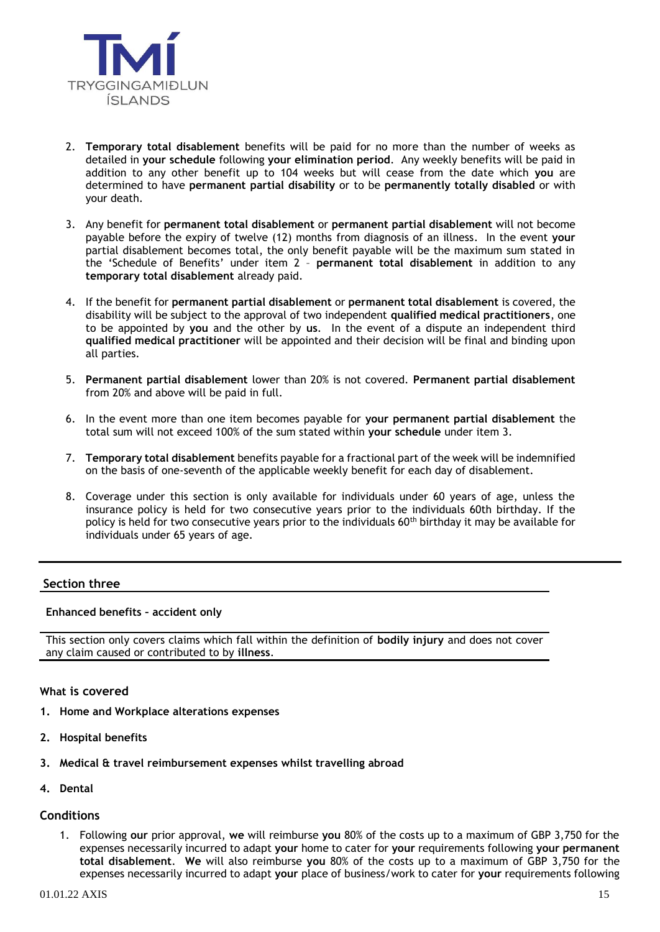

- 2. **Temporary total disablement** benefits will be paid for no more than the number of weeks as detailed in **your schedule** following **your elimination period**. Any weekly benefits will be paid in addition to any other benefit up to 104 weeks but will cease from the date which **you** are determined to have **permanent partial disability** or to be **permanently totally disabled** or with your death.
- 3. Any benefit for **permanent total disablement** or **permanent partial disablement** will not become payable before the expiry of twelve (12) months from diagnosis of an illness. In the event **your** partial disablement becomes total, the only benefit payable will be the maximum sum stated in the 'Schedule of Benefits' under item 2 – **permanent total disablement** in addition to any **temporary total disablement** already paid.
- 4. If the benefit for **permanent partial disablement** or **permanent total disablement** is covered, the disability will be subject to the approval of two independent **qualified medical practitioners**, one to be appointed by **you** and the other by **us**. In the event of a dispute an independent third **qualified medical practitioner** will be appointed and their decision will be final and binding upon all parties.
- 5. **Permanent partial disablement** lower than 20% is not covered. **Permanent partial disablement** from 20% and above will be paid in full.
- 6. In the event more than one item becomes payable for **your permanent partial disablement** the total sum will not exceed 100% of the sum stated within **your schedule** under item 3.
- 7. **Temporary total disablement** benefits payable for a fractional part of the week will be indemnified on the basis of one-seventh of the applicable weekly benefit for each day of disablement.
- 8. Coverage under this section is only available for individuals under 60 years of age, unless the insurance policy is held for two consecutive years prior to the individuals 60th birthday. If the policy is held for two consecutive years prior to the individuals  $60<sup>th</sup>$  birthday it may be available for individuals under 65 years of age.

#### **Section three**

#### **Enhanced benefits – accident only**

This section only covers claims which fall within the definition of **bodily injury** and does not cover any claim caused or contributed to by **illness**.

#### **What is covered**

- **1. Home and Workplace alterations expenses**
- **2. Hospital benefits**
- **3. Medical & travel reimbursement expenses whilst travelling abroad**
- **4. Dental**

#### **Conditions**

1. Following **our** prior approval, **we** will reimburse **you** 80% of the costs up to a maximum of GBP 3,750 for the expenses necessarily incurred to adapt **your** home to cater for **your** requirements following **your permanent total disablement**. **We** will also reimburse **you** 80% of the costs up to a maximum of GBP 3,750 for the expenses necessarily incurred to adapt **your** place of business/work to cater for **your** requirements following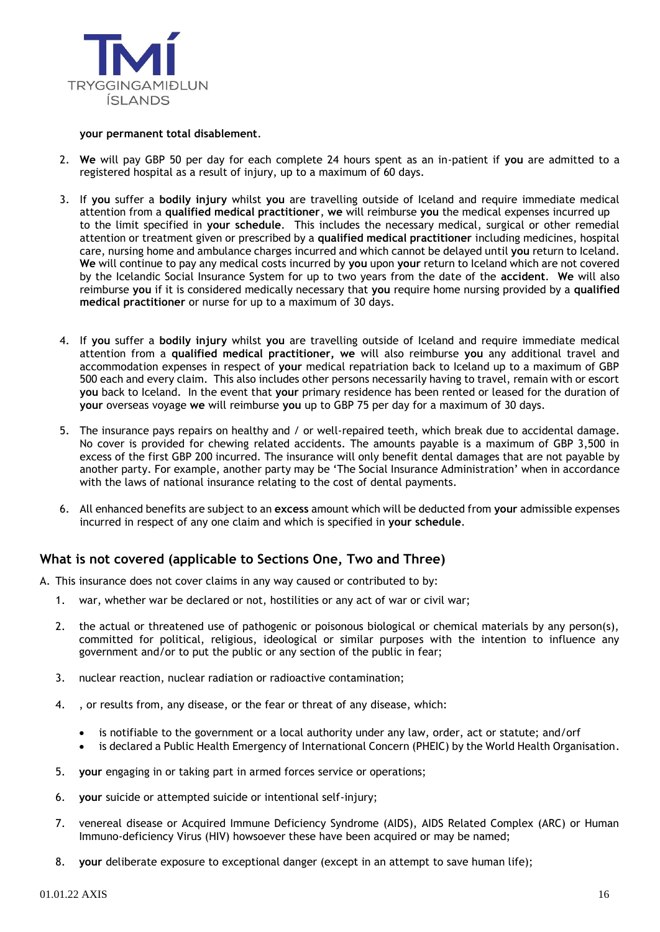

#### **your permanent total disablement**.

- 2. **We** will pay GBP 50 per day for each complete 24 hours spent as an in-patient if **you** are admitted to a registered hospital as a result of injury, up to a maximum of 60 days.
- 3. If **you** suffer a **bodily injury** whilst **you** are travelling outside of Iceland and require immediate medical attention from a **qualified medical practitioner**, **we** will reimburse **you** the medical expenses incurred up to the limit specified in **your schedule**. This includes the necessary medical, surgical or other remedial attention or treatment given or prescribed by a **qualified medical practitioner** including medicines, hospital care, nursing home and ambulance charges incurred and which cannot be delayed until **you** return to Iceland. **We** will continue to pay any medical costs incurred by **you** upon **your** return to Iceland which are not covered by the Icelandic Social Insurance System for up to two years from the date of the **accident**. **We** will also reimburse **you** if it is considered medically necessary that **you** require home nursing provided by a **qualified medical practitioner** or nurse for up to a maximum of 30 days.
- 4. If **you** suffer a **bodily injury** whilst **you** are travelling outside of Iceland and require immediate medical attention from a **qualified medical practitioner, we** will also reimburse **you** any additional travel and accommodation expenses in respect of **your** medical repatriation back to Iceland up to a maximum of GBP 500 each and every claim. This also includes other persons necessarily having to travel, remain with or escort **you** back to Iceland. In the event that **your** primary residence has been rented or leased for the duration of **your** overseas voyage **we** will reimburse **you** up to GBP 75 per day for a maximum of 30 days.
- 5. The insurance pays repairs on healthy and / or well-repaired teeth, which break due to accidental damage. No cover is provided for chewing related accidents. The amounts payable is a maximum of GBP 3,500 in excess of the first GBP 200 incurred. The insurance will only benefit dental damages that are not payable by another party. For example, another party may be 'The Social Insurance Administration' when in accordance with the laws of national insurance relating to the cost of dental payments.
- 6. All enhanced benefits are subject to an **excess** amount which will be deducted from **your** admissible expenses incurred in respect of any one claim and which is specified in **your schedule**.

## **What is not covered (applicable to Sections One, Two and Three)**

- A. This insurance does not cover claims in any way caused or contributed to by:
	- 1. war, whether war be declared or not, hostilities or any act of war or civil war;
	- 2. the actual or threatened use of pathogenic or poisonous biological or chemical materials by any person(s), committed for political, religious, ideological or similar purposes with the intention to influence any government and/or to put the public or any section of the public in fear;
	- 3. nuclear reaction, nuclear radiation or radioactive contamination;
	- 4. , or results from, any disease, or the fear or threat of any disease, which:
		- is notifiable to the government or a local authority under any law, order, act or statute; and/orf
		- is declared a Public Health Emergency of International Concern (PHEIC) by the World Health Organisation.
	- 5. **your** engaging in or taking part in armed forces service or operations;
	- 6. **your** suicide or attempted suicide or intentional self-injury;
	- 7. venereal disease or Acquired Immune Deficiency Syndrome (AIDS), AIDS Related Complex (ARC) or Human Immuno-deficiency Virus (HIV) howsoever these have been acquired or may be named;
	- 8. **your** deliberate exposure to exceptional danger (except in an attempt to save human life);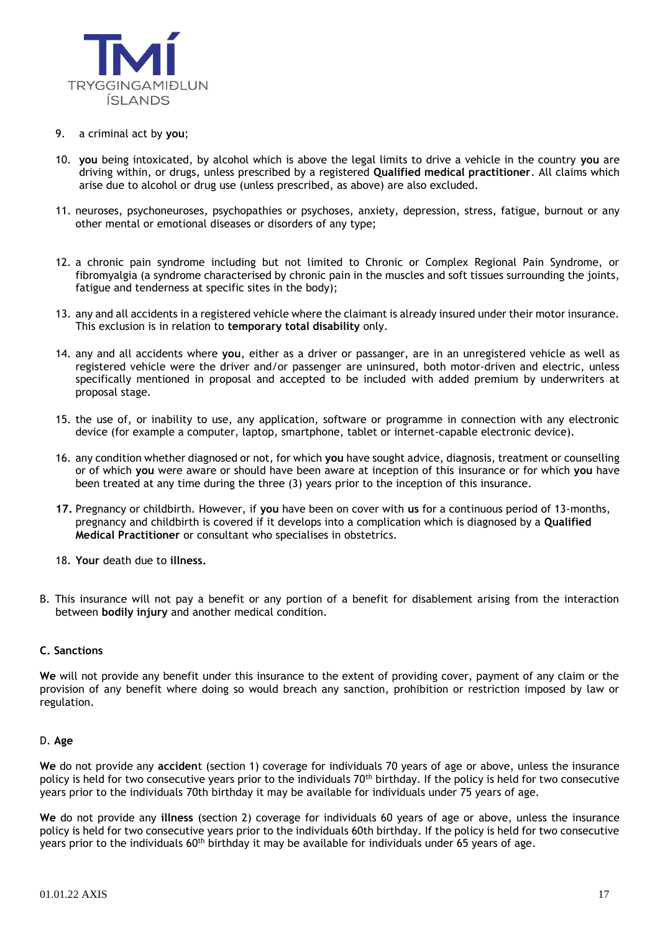

- 9. a criminal act by **you**;
- 10. **you** being intoxicated, by alcohol which is above the legal limits to drive a vehicle in the country **you** are driving within, or drugs, unless prescribed by a registered **Qualified medical practitioner**. All claims which arise due to alcohol or drug use (unless prescribed, as above) are also excluded.
- 11. neuroses, psychoneuroses, psychopathies or psychoses, anxiety, depression, stress, fatigue, burnout or any other mental or emotional diseases or disorders of any type;
- 12. a chronic pain syndrome including but not limited to Chronic or Complex Regional Pain Syndrome, or fibromyalgia (a syndrome characterised by chronic pain in the muscles and soft tissues surrounding the joints, fatigue and tenderness at specific sites in the body);
- 13. any and all accidents in a registered vehicle where the claimant is already insured under their motor insurance. This exclusion is in relation to **temporary total disability** only.
- 14. any and all accidents where **you**, either as a driver or passanger, are in an unregistered vehicle as well as registered vehicle were the driver and/or passenger are uninsured, both motor-driven and electric, unless specifically mentioned in proposal and accepted to be included with added premium by underwriters at proposal stage.
- 15. the use of, or inability to use, any application, software or programme in connection with any electronic device (for example a computer, laptop, smartphone, tablet or internet-capable electronic device).
- 16. any condition whether diagnosed or not, for which **you** have sought advice, diagnosis, treatment or counselling or of which **you** were aware or should have been aware at inception of this insurance or for which **you** have been treated at any time during the three (3) years prior to the inception of this insurance.
- **17.** Pregnancy or childbirth. However, if **you** have been on cover with **us** for a continuous period of 13-months, pregnancy and childbirth is covered if it develops into a complication which is diagnosed by a **Qualified Medical Practitioner** or consultant who specialises in obstetrics.
- 18. **Your** death due to **illness.**
- B. This insurance will not pay a benefit or any portion of a benefit for disablement arising from the interaction between **bodily injury** and another medical condition.

#### **C. Sanctions**

**We** will not provide any benefit under this insurance to the extent of providing cover, payment of any claim or the provision of any benefit where doing so would breach any sanction, prohibition or restriction imposed by law or regulation.

#### D. **Age**

**We** do not provide any **acciden**t (section 1) coverage for individuals 70 years of age or above, unless the insurance policy is held for two consecutive years prior to the individuals  $70<sup>th</sup>$  birthday. If the policy is held for two consecutive years prior to the individuals 70th birthday it may be available for individuals under 75 years of age.

**We** do not provide any **illness** (section 2) coverage for individuals 60 years of age or above, unless the insurance policy is held for two consecutive years prior to the individuals 60th birthday. If the policy is held for two consecutive years prior to the individuals  $60<sup>th</sup>$  birthday it may be available for individuals under 65 years of age.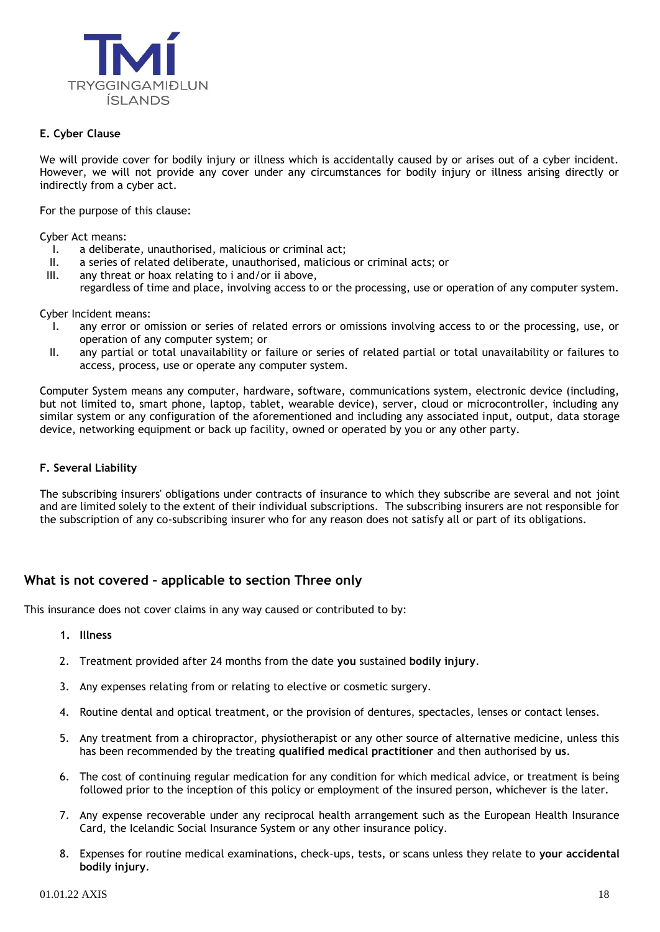

#### **E. Cyber Clause**

We will provide cover for bodily injury or illness which is accidentally caused by or arises out of a cyber incident. However, we will not provide any cover under any circumstances for bodily injury or illness arising directly or indirectly from a cyber act.

For the purpose of this clause:

Cyber Act means:

- I. a deliberate, unauthorised, malicious or criminal act;
- a series of related deliberate, unauthorised, malicious or criminal acts; or
- III. any threat or hoax relating to i and/or ii above, regardless of time and place, involving access to or the processing, use or operation of any computer system.

Cyber Incident means:

- I. any error or omission or series of related errors or omissions involving access to or the processing, use, or operation of any computer system; or
- II. any partial or total unavailability or failure or series of related partial or total unavailability or failures to access, process, use or operate any computer system.

Computer System means any computer, hardware, software, communications system, electronic device (including, but not limited to, smart phone, laptop, tablet, wearable device), server, cloud or microcontroller, including any similar system or any configuration of the aforementioned and including any associated input, output, data storage device, networking equipment or back up facility, owned or operated by you or any other party.

#### **F. Several Liability**

The subscribing insurers' obligations under contracts of insurance to which they subscribe are several and not joint and are limited solely to the extent of their individual subscriptions. The subscribing insurers are not responsible for the subscription of any co-subscribing insurer who for any reason does not satisfy all or part of its obligations.

## **What is not covered – applicable to section Three only**

This insurance does not cover claims in any way caused or contributed to by:

- **1. Illness**
- 2. Treatment provided after 24 months from the date **you** sustained **bodily injury**.
- 3. Any expenses relating from or relating to elective or cosmetic surgery.
- 4. Routine dental and optical treatment, or the provision of dentures, spectacles, lenses or contact lenses.
- 5. Any treatment from a chiropractor, physiotherapist or any other source of alternative medicine, unless this has been recommended by the treating **qualified medical practitioner** and then authorised by **us**.
- 6. The cost of continuing regular medication for any condition for which medical advice, or treatment is being followed prior to the inception of this policy or employment of the insured person, whichever is the later.
- 7. Any expense recoverable under any reciprocal health arrangement such as the European Health Insurance Card, the Icelandic Social Insurance System or any other insurance policy.
- 8. Expenses for routine medical examinations, check-ups, tests, or scans unless they relate to **your accidental bodily injury**.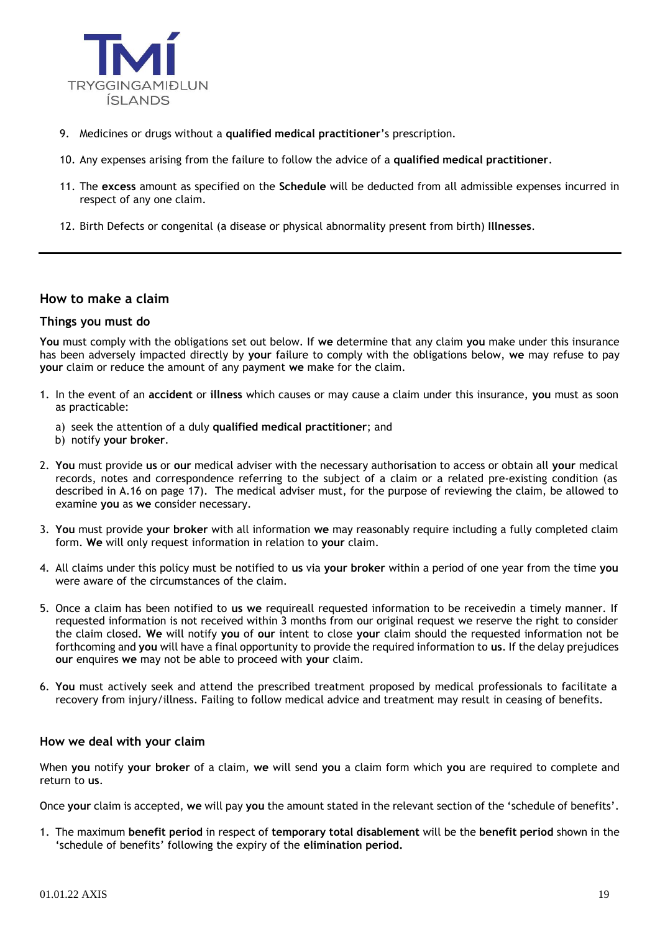

- 9. Medicines or drugs without a **qualified medical practitioner**'s prescription.
- 10. Any expenses arising from the failure to follow the advice of a **qualified medical practitioner**.
- 11. The **excess** amount as specified on the **Schedule** will be deducted from all admissible expenses incurred in respect of any one claim.
- 12. Birth Defects or congenital (a disease or physical abnormality present from birth) **Illnesses**.

#### **How to make a claim**

#### **Things you must do**

**You** must comply with the obligations set out below. If **we** determine that any claim **you** make under this insurance has been adversely impacted directly by **your** failure to comply with the obligations below, **we** may refuse to pay **your** claim or reduce the amount of any payment **we** make for the claim.

- 1. In the event of an **accident** or **illness** which causes or may cause a claim under this insurance, **you** must as soon as practicable:
	- a) seek the attention of a duly **qualified medical practitioner**; and
	- b) notify **your broker**.
- 2. **You** must provide **us** or **our** medical adviser with the necessary authorisation to access or obtain all **your** medical records, notes and correspondence referring to the subject of a claim or a related pre-existing condition (as described in A.16 on page 17). The medical adviser must, for the purpose of reviewing the claim, be allowed to examine **you** as **we** consider necessary.
- 3. **You** must provide **your broker** with all information **we** may reasonably require including a fully completed claim form. **We** will only request information in relation to **your** claim.
- 4. All claims under this policy must be notified to **us** via **your broker** within a period of one year from the time **you** were aware of the circumstances of the claim.
- 5. Once a claim has been notified to **us we** requireall requested information to be receivedin a timely manner. If requested information is not received within 3 months from our original request we reserve the right to consider the claim closed. **We** will notify **you** of **our** intent to close **your** claim should the requested information not be forthcoming and **you** will have a final opportunity to provide the required information to **us**. If the delay prejudices **our** enquires **we** may not be able to proceed with **your** claim.
- 6. **You** must actively seek and attend the prescribed treatment proposed by medical professionals to facilitate a recovery from injury/illness. Failing to follow medical advice and treatment may result in ceasing of benefits.

## **How we deal with your claim**

When **you** notify **your broker** of a claim, **we** will send **you** a claim form which **you** are required to complete and return to **us**.

Once **your** claim is accepted, **we** will pay **you** the amount stated in the relevant section of the 'schedule of benefits'.

1. The maximum **benefit period** in respect of **temporary total disablement** will be the **benefit period** shown in the 'schedule of benefits' following the expiry of the **elimination period.**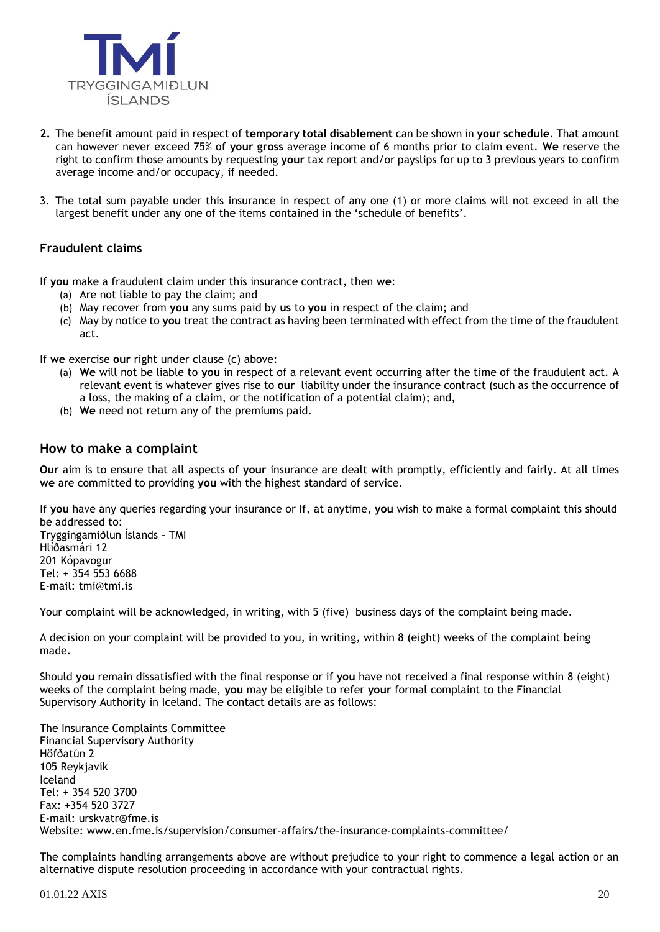

- **2.** The benefit amount paid in respect of **temporary total disablement** can be shown in **your schedule**. That amount can however never exceed 75% of **your gross** average income of 6 months prior to claim event. **We** reserve the right to confirm those amounts by requesting **your** tax report and/or payslips for up to 3 previous years to confirm average income and/or occupacy, if needed.
- 3. The total sum payable under this insurance in respect of any one (1) or more claims will not exceed in all the largest benefit under any one of the items contained in the 'schedule of benefits'.

## **Fraudulent claims**

If **you** make a fraudulent claim under this insurance contract, then **we**:

- (a) Are not liable to pay the claim; and
- (b) May recover from **you** any sums paid by **us** to **you** in respect of the claim; and
- (c) May by notice to **you** treat the contract as having been terminated with effect from the time of the fraudulent act.

If **we** exercise **our** right under clause (c) above:

- (a) **We** will not be liable to **you** in respect of a relevant event occurring after the time of the fraudulent act. A relevant event is whatever gives rise to **our** liability under the insurance contract (such as the occurrence of a loss, the making of a claim, or the notification of a potential claim); and,
- (b) **We** need not return any of the premiums paid.

#### **How to make a complaint**

**Our** aim is to ensure that all aspects of **your** insurance are dealt with promptly, efficiently and fairly. At all times **we** are committed to providing **you** with the highest standard of service.

If **you** have any queries regarding your insurance or If, at anytime, **you** wish to make a formal complaint this should be addressed to:

Tryggingamiðlun Íslands - TMI Hlíðasmári 12 201 Kópavogur Tel: + 354 553 6688 E-mail: [tmi@tmi.is](mailto:tmi@tmi.is)

Your complaint will be acknowledged, in writing, with 5 (five) business days of the complaint being made.

A decision on your complaint will be provided to you, in writing, within 8 (eight) weeks of the complaint being made.

Should **you** remain dissatisfied with the final response or if **you** have not received a final response within 8 (eight) weeks of the complaint being made, **you** may be eligible to refer **your** formal complaint to the Financial Supervisory Authority in Iceland. The contact details are as follows:

The Insurance Complaints Committee Financial Supervisory Authority Höfðatún 2 105 Reykjavík Iceland Tel: + 354 520 3700 Fax: +354 520 3727 E-mail: [urskvatr@fme.is](mailto:urskvatr@fme.is) Website: [www.en.fme.is/supervision/consumer-affairs/the-insurance-complaints-committee/](http://en.fme.is/supervision/consumer-affairs/the-insurance-complaints-committee/)

The complaints handling arrangements above are without prejudice to your right to commence a legal action or an alternative dispute resolution proceeding in accordance with your contractual rights.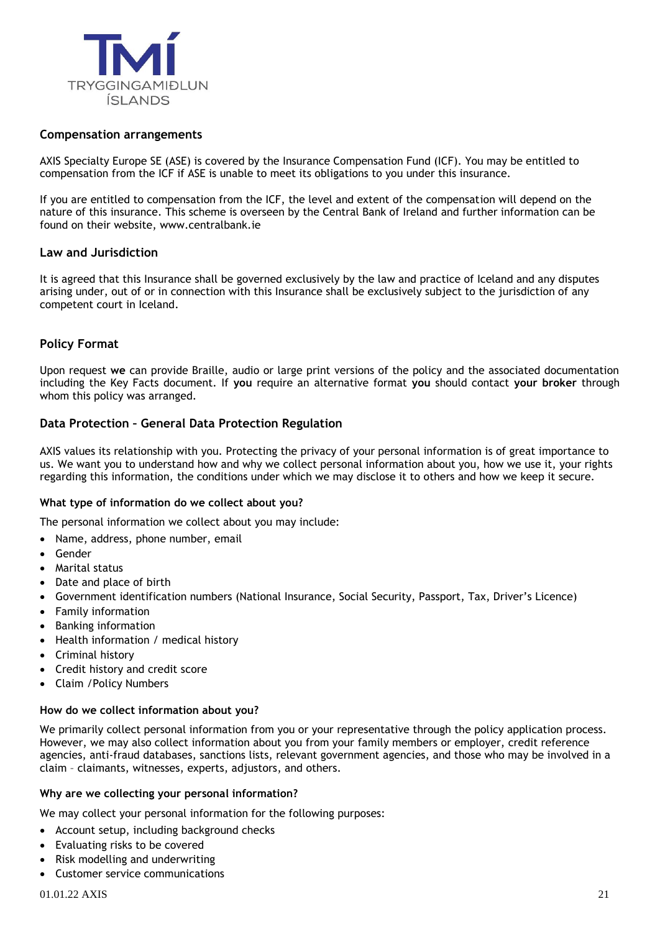

## **Compensation arrangements**

AXIS Specialty Europe SE (ASE) is covered by the Insurance Compensation Fund (ICF). You may be entitled to compensation from the ICF if ASE is unable to meet its obligations to you under this insurance.

If you are entitled to compensation from the ICF, the level and extent of the compensation will depend on the nature of this insurance. This scheme is overseen by the Central Bank of Ireland and further information can be found on their website, www.centralbank.ie

## **Law and Jurisdiction**

It is agreed that this Insurance shall be governed exclusively by the law and practice of Iceland and any disputes arising under, out of or in connection with this Insurance shall be exclusively subject to the jurisdiction of any competent court in Iceland.

## **Policy Format**

Upon request **we** can provide Braille, audio or large print versions of the policy and the associated documentation including the Key Facts document. If **you** require an alternative format **you** should contact **your broker** through whom this policy was arranged.

## **Data Protection – General Data Protection Regulation**

AXIS values its relationship with you. Protecting the privacy of your personal information is of great importance to us. We want you to understand how and why we collect personal information about you, how we use it, your rights regarding this information, the conditions under which we may disclose it to others and how we keep it secure.

#### **What type of information do we collect about you?**

The personal information we collect about you may include:

• Name, address, phone number, email

- **Gender**
- Marital status
- Date and place of birth
- Government identification numbers (National Insurance, Social Security, Passport, Tax, Driver's Licence)
- Family information
- Banking information
- Health information / medical history
- Criminal history
- Credit history and credit score
- Claim /Policy Numbers

#### **How do we collect information about you?**

We primarily collect personal information from you or your representative through the policy application process. However, we may also collect information about you from your family members or employer, credit reference agencies, anti-fraud databases, sanctions lists, relevant government agencies, and those who may be involved in a claim – claimants, witnesses, experts, adjustors, and others.

#### **Why are we collecting your personal information?**

We may collect your personal information for the following purposes:

- Account setup, including background checks
- Evaluating risks to be covered
- Risk modelling and underwriting
- Customer service communications